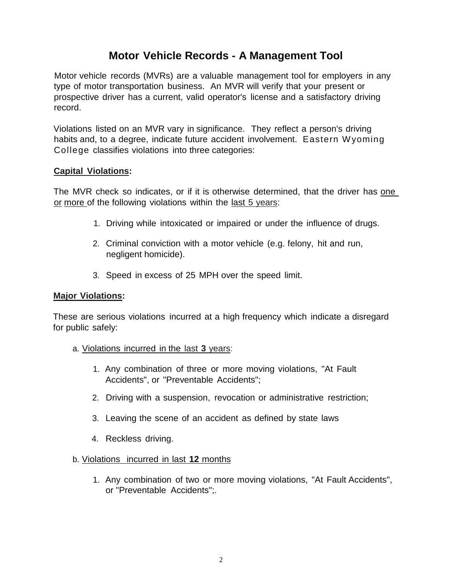# **Motor Vehicle Records - A Management Tool**

Motor vehicle records (MVRs) are a valuable management tool for employers in any type of motor transportation business. An MVR will verify that your present or prospective driver has a current, valid operator's license and a satisfactory driving record.

Violations listed on an MVR vary in significance. They reflect a person's driving habits and, to a degree, indicate future accident involvement. Eastern Wyoming College classifies violations into three categories:

## **Capital Violations:**

The MVR check so indicates, or if it is otherwise determined, that the driver has one or more of the following violations within the last 5 years:

- 1. Driving while intoxicated or impaired or under the influence of drugs.
- 2. Criminal conviction with a motor vehicle (e.g. felony, hit and run, negligent homicide).
- 3. Speed in excess of 25 MPH over the speed limit.

## **Major Violations:**

These are serious violations incurred at a high frequency which indicate a disregard for public safely:

- a. Violations incurred in the last **3** years:
	- 1. Any combination of three or more moving violations, "At Fault Accidents", or "Preventable Accidents";
	- 2. Driving with a suspension, revocation or administrative restriction;
	- 3. Leaving the scene of an accident as defined by state laws
	- 4. Reckless driving.

## b. Violations incurred in last **12** months

1. Any combination of two or more moving violations, "At Fault Accidents", or "Preventable Accidents";.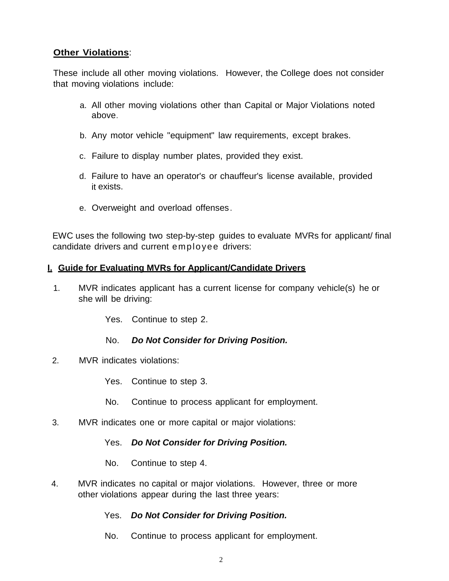# **Other Violations**:

These include all other moving violations. However, the College does not consider that moving violations include:

- a. All other moving violations other than Capital or Major Violations noted above.
- b. Any motor vehicle "equipment" law requirements, except brakes.
- c. Failure to display number plates, provided they exist.
- d. Failure to have an operator's or chauffeur's license available, provided it exists.
- e. Overweight and overload offenses.

EWC uses the following two step-by-step guides to evaluate MVRs for applicant/ final candidate drivers and current employee drivers:

## **I. Guide for Evaluating MVRs for Applicant/Candidate Drivers**

1. MVR indicates applicant has a current license for company vehicle(s) he or she will be driving:

Yes. Continue to step 2.

## No. *Do Not Consider for Driving Position.*

2. MVR indicates violations:

Yes. Continue to step 3.

- No. Continue to process applicant for employment.
- 3. MVR indicates one or more capital or major violations:

Yes. *Do Not Consider for Driving Position.*

No. Continue to step 4.

4. MVR indicates no capital or major violations. However, three or more other violations appear during the last three years:

# Yes. *Do Not Consider for Driving Position.*

No. Continue to process applicant for employment.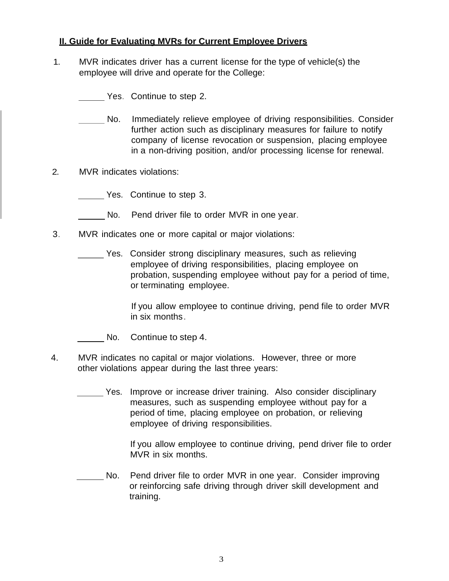## **II. Guide for Evaluating MVRs for Current Employee Drivers**

- 1. MVR indicates driver has a current license for the type of vehicle(s) the employee will drive and operate for the College:
	- Yes. Continue to step 2.
	- No. Immediately relieve employee of driving responsibilities. Consider further action such as disciplinary measures for failure to notify company of license revocation or suspension, placing employee in a non-driving position, and/or processing license for renewal.
- 2. MVR indicates violations:
	- Yes. Continue to step 3.
	- No. Pend driver file to order MVR in one year.
- 3. MVR indicates one or more capital or major violations:
	- Yes. Consider strong disciplinary measures, such as relieving employee of driving responsibilities, placing employee on probation, suspending employee without pay for a period of time, or terminating employee.

If you allow employee to continue driving, pend file to order MVR in six months.

- No. Continue to step 4.
- 4. MVR indicates no capital or major violations. However, three or more other violations appear during the last three years:
	- Yes. Improve or increase driver training. Also consider disciplinary measures, such as suspending employee without pay for a period of time, placing employee on probation, or relieving employee of driving responsibilities.

If you allow employee to continue driving, pend driver file to order MVR in six months.

No. Pend driver file to order MVR in one year. Consider improving or reinforcing safe driving through driver skill development and training.